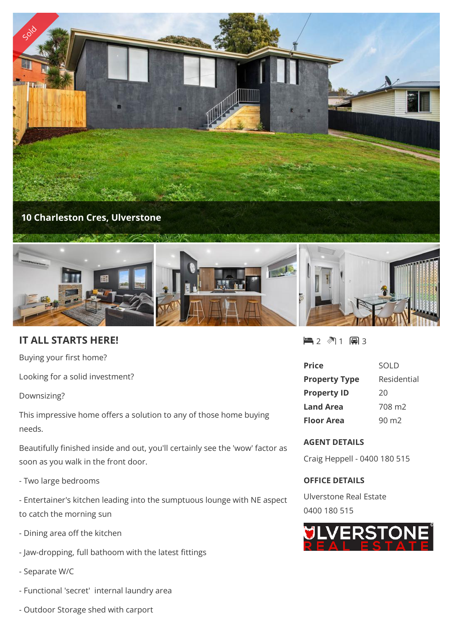

## **10 Charleston Cres, Ulverstone**



## **IT ALL STARTS HERE!**

Buying your first home?

Looking for a solid investment?

Downsizing?

This impressive home offers a solution to any of those home buying needs.

Beautifully finished inside and out, you'll certainly see the 'wow' factor as soon as you walk in the front door.

- Two large bedrooms

- Entertainer's kitchen leading into the sumptuous lounge with NE aspect to catch the morning sun

- Dining area off the kitchen
- Jaw-dropping, full bathoom with the latest fittings
- Separate W/C
- Functional 'secret' internal laundry area
- Outdoor Storage shed with carport

■2 图1 圓3

| <b>Price</b>         | SOLD               |
|----------------------|--------------------|
| <b>Property Type</b> | Residential        |
| <b>Property ID</b>   | 20                 |
| <b>Land Area</b>     | 708 m <sub>2</sub> |
| <b>Floor Area</b>    | 90 m <sub>2</sub>  |

## **AGENT DETAILS**

Craig Heppell - 0400 180 515

## **OFFICE DETAILS**

Ulverstone Real Estate 0400 180 515